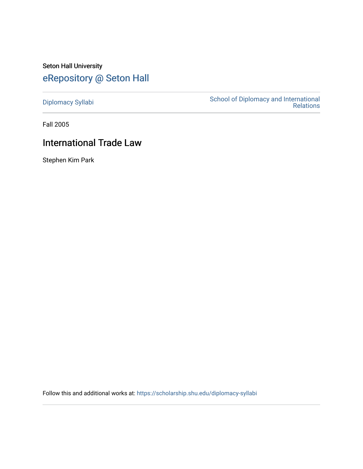## Seton Hall University [eRepository @ Seton Hall](https://scholarship.shu.edu/)

[Diplomacy Syllabi](https://scholarship.shu.edu/diplomacy-syllabi) [School of Diplomacy and International](https://scholarship.shu.edu/diplomacy)  [Relations](https://scholarship.shu.edu/diplomacy) 

Fall 2005

# International Trade Law

Stephen Kim Park

Follow this and additional works at: [https://scholarship.shu.edu/diplomacy-syllabi](https://scholarship.shu.edu/diplomacy-syllabi?utm_source=scholarship.shu.edu%2Fdiplomacy-syllabi%2F619&utm_medium=PDF&utm_campaign=PDFCoverPages)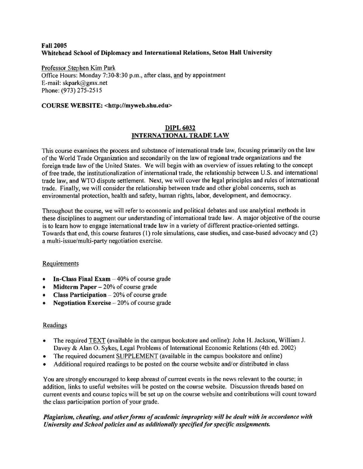## **Fall 2005 Whitehead School of Diplomacy and International Relations, Seton Hall University**

Professor Stephen Kim Park Office Hours: Monday 7:30-8:30 p.m., after class, and by appointment E-mail: skpark@gmx.net Phone:(973) 275-2515

## **COURSE WEBSITE: <sup>&</sup>lt;http://myweb.shu.edu<sup>&</sup>gt;**

## **DIPL 6032 INTERNATIONAL TRADE LAW**

This course examines the process and substance of international trade law, focusing primarily on the law of the World Trade Organization and secondarily on the law of regional trade organizations and the foreign trade law of the United States. We will begin with an overview of issues relating to the concep<sup>t</sup> of free trade, the institutionalization of international trade, the relationship between U.S. and international trade law, and WTO dispute settlement. Next, we will cover the legal principles and rules of international trade. Finally, we will consider the relationship between trade and other global concerns, such as environmental protection, health and safety, human rights, labor, development, and democracy.

Throughout the course, we will refer to economic and political debates and use analytical methods in these disciplines to augmen<sup>t</sup> our understanding of international trade law. <sup>A</sup> major objective of the course is to learn how to engage international trade law in <sup>a</sup> variety of different practice-oriented settings. Towards that end, this course features (1) role simulations, case studies, and case-based advocacy and (2) <sup>a</sup> multi-issue/multi-party negotiation exercise.

#### **Requirements**

- **In-Class Final Exam** 40% of course grade
- **•• Midterm Paper** 20% of course grade
- **Class Participation** 20% of course grade
- **Negotiation Exercise** 20% of course grade

#### Readings

- • The required TEXT (available in the campus bookstore and online): John H. Jackson, William J. Davey & Alan O. Sykes, Legal Problems of International Economic Relations (4th ed. 2002)
- •The required document SUPPLEMENT (available in the campus bookstore and online)
- •Additional required readings to be posted on the course website and/or distributed in class

You are strongly encouraged to keep abreast of current events in the news relevant to the course; in addition, links to useful websites will be posted on the course website. Discussion threads based on current events and course topics will be set up on the course website and contributions will count toward the class participation portion of your grade.

## *Plagiarism, cheating, and other forms of academic impropriety will be dealt with in accordance with University and School policies and as additionally specified for specific assignments.*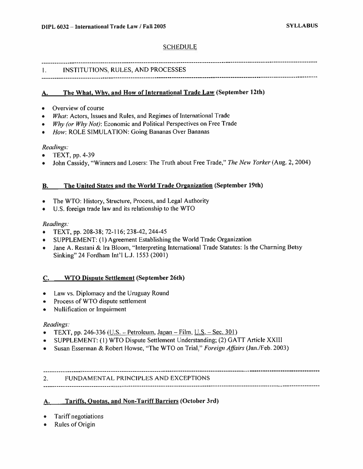#### SCHEDULE

#### 1. INSTITUTIONS, RULES, AND PROCESSES

## **A The What, Why, and How of International Trade Law (September 12th) .**

- •Overview of course
- *What:* Actors, Issues and Rules, and Regimes of International Trade
- *Why (or Why Not):* Economic and Political Perspectives on Free Trade
- •*How:* ROLE SIMULATION: Going Bananas Over Bananas

#### *Readings:*

- TEXT, pp. 4-39
- John Cassidy, "Winners and Losers: The Truth about Free Trade," *The New Yorker* (Aug. <sup>2</sup>, <sup>2004</sup>)

### **B. The United States and the World Trade Organization (September 19th)**

- •The WTO: History, Structure, Process, and Legal Authority
- U.S. foreign trade law and its relationship to the WTO

### *Readings:*

- TEXT, pp. 208-38; 72-116; 238-42, 244-45
- SUPPLEMENT: (1) Agreement Establishing the World Trade Organization
- • Jane A. Restani & Ira Bloom, "Interpreting International Trade Statutes: Is the Charming Betsy Sinking" 24 Fordham Int'l L.J. 1553 (2001)

#### **C. WTO Dispute Settlement (September 26th)**

- Law vs. Diplomacy and the Uruguay Round
- Process of WTO dispute settlement
- Nullification or Impairment

#### *Readings:*

- $\bullet$ TEXT, pp. 246-336 (U.S. - Petroleum, Japan - Film, U.S. - Sec. 301)
- SUPPLEMENT: (1) WTO Dispute Settlement Understanding;(2) GATT Article XXIII
- Susan Esserman & Robert Howse, "The WTO on Trial," *Foreign Affairs* (Jan./Feb. 2003)

## **2.** FUNDAMENTAL PRINCIPLES AND EXCEPTIONS

#### **<sup>A</sup>, Tariffs, Quotas, and Non-Tariff Barriers (October 3rd)**

- •Tariff negotiations
- •Rules of Origin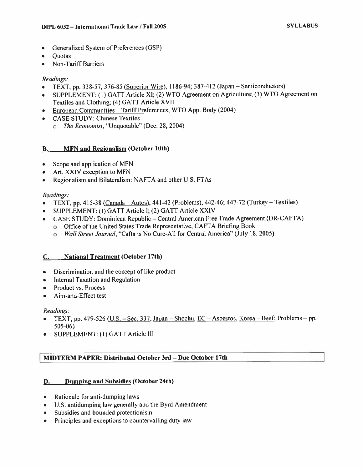- Generalized System of Preferences(GSP)
- Quotas
- Non-Tariff Barriers

#### *Readings:*

- TEXT, pp. <sup>338</sup>-57, <sup>376</sup>-85 (Superior Wire). 1186-94; <sup>387</sup>-<sup>412</sup> (Japan -Semiconductors)
- SUPPLEMENT: ( 1) GATT Article XI; (2) WTO Agreement on Agriculture;(3) WTO Agreement on Textiles and Clothing; (4) GATT Article XVII
- European Communities Tariff Preferences, WTO App. Body (2004)
- CASE STUDY: Chinese Textiles
	- <sup>o</sup> *The Economist,* "Unquotable" (Dec. 28, 2004)

### **B. MFN and Regionalism (October 10th)**

- Scope and application of MFN
- Art. XXIV exception to MFN
- Regionalism and Bilateralism: NAFTA and other U.S. FTAs

#### *Readings:*

- TEXT, pp. 415-38 (Canada Autos), 441-42 (Problems), 442-46; 447-72 (Turkey Textiles)
- SUPPLEMENT: (1) GATT Article I; (2) GATT Article XXIV
- CASE STUDY: Dominican Republic Central American Free Trade Agreement (DR-CAFTA)
	- *<sup>o</sup>* Office of the United States Trade Representative, CAFTA Briefing Book
	- *<sup>o</sup> Wall Street Journal,* "Cafta is No Cure-All for Central America" (July 18, 2005)

## **C. National Treatment (October 17th)**

- Discrimination and the concept of like product
- Internal Taxation and Regulation
- Product vs. Process
- Aim-and-Effect test

#### *Readings:*

- *•*TEXT, pp. 479-526 (U.S. - Sec. 337, Japan - Shochu,  $EC - Asbestos$ , Korea - Beef; Problems - pp. 505-06)
- SUPPLEMENT: ( 1 ) GATT Article III

## **| MIDTERM PAPER: Distributed October <sup>3</sup>rd -Due October <sup>17</sup>th**

#### **IX Dumping and Subsidies (October 24th)**

- Rationale for anti-dumping laws
- U.S. antidumping law generally and the Byrd Amendment
- Subsidies and bounded protectionism
- Principles and exceptions to countervailing duty law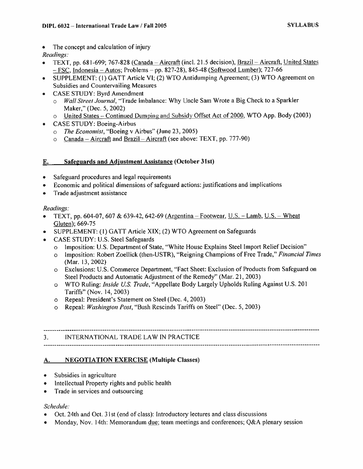The concept and calculation of injury

## *Readings:*

- TEXT, pp. 681-699; 767-828 (Canada Aircraft (incl. 21.5 decision), Brazil Aircraft, United States  $-$  FSC, Indonesia – Autos; Problems – pp. 827-28), 845-48 (Softwood Lumber); 727-66
- SUPPLEMENT: (1 ) GATT Article VI; (2) WTO Antidumping Agreement; (3) WTO Agreement on Subsidies and Countervailing Measures
- CASE STUDY: Byrd Amendment
	- <sup>o</sup> *Wall Street Journal,* "Trade Imbalance: Why Uncle Sam Wrote <sup>a</sup> Big Check to <sup>a</sup> Sparkler Maker," (Dec. 5, 2002)
	- <sup>o</sup> United States Continued Dumping and Subsidy Offset Act of 2000. WTO App. Body (2003)
- CASE STUDY: Boeing-Airbus
	- <sup>o</sup> *The Economist,*"Boeing <sup>v</sup> Airbus" (June 23, 2005)
	- o Canada Aircraft and Brazil Aircraft (see above: TEXT, pp. 777-90)

## E. Safeguards and Adjustment Assistance (October 31st)

- Safeguard procedures and legal requirements
- Economic and political dimensions of safeguard actions: justifications and implications
- Trade adjustment assistance

## *Readings:*

- TEXT, pp. 604-07, 607 & 639-42, 642-69 (Argentina Footwear, U.S. Lamb, U.S. Wheat Gluten); 669-75
- SUPPLEMENT: (1) GATT Article XIX; (2) WTO Agreement on Safeguards
- CASE STUDY: U.S. Steel Safeguards
	- <sup>o</sup> Imposition: U.S. Department of State, "White House Explains Steel Import Relief Decision"
	- <sup>o</sup> Imposition: Robert Zoellick (then-USTR), "Reigning Champions of Free Trade," *Financial Times* (Mar. 13, 2002)
	- <sup>o</sup> Exclusions: U.S. Commerce Department, "Fact Sheet: Exclusion of Products from Safeguard on Steel Products and Automatic Adjustment of the Remedy" (Mar. 21, 2003)
	- <sup>o</sup> WTO Ruling: *Inside U.S. Trade,* "Appellate Body Largely Upholds Ruling Against U.S. 201 Tariffs" (Nov. 14, 2003)
	- <sup>o</sup> Repeal: President'<sup>s</sup> Statement on Steel (Dec. 4, 2003)
	- <sup>o</sup> Repeal: *Washington Post,* "Bush Rescinds Tariffs on Steel" (Dec. 5, 2003)

## 3. INTERNATIONAL TRADE LAW IN PRACTICE

## A. NEGOTIATION EXERCISE (Multiple Classes)

- Subsidies in agriculture
- Intellectual Property rights and public health
- Trade in services and outsourcing

## *Schedule:*

- *•* Oct. 24th and Oct. 31st (end of class): Introductory lectures and class discussions
- Monday, Nov. 14th: Memorandum due; team meetings and conferences; Q&A plenary session